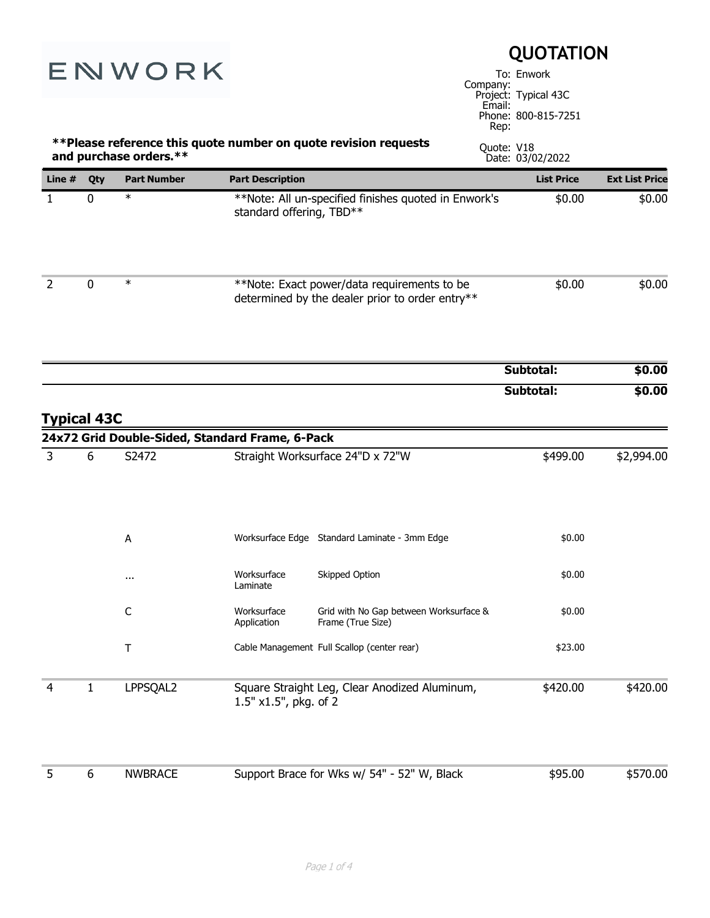| ENWORK             |              | <b>QUOTATION</b><br>To: Enwork<br>Company:<br>Project: Typical 43C<br>Email: |                            |                                                                                                |                                                               |                       |
|--------------------|--------------|------------------------------------------------------------------------------|----------------------------|------------------------------------------------------------------------------------------------|---------------------------------------------------------------|-----------------------|
|                    |              | and purchase orders.**                                                       |                            | ** Please reference this quote number on quote revision requests                               | Phone: 800-815-7251<br>Rep:<br>Quote: V18<br>Date: 03/02/2022 |                       |
| Line #             | Qty          | <b>Part Number</b>                                                           | <b>Part Description</b>    |                                                                                                | <b>List Price</b>                                             | <b>Ext List Price</b> |
| $\mathbf{1}$       | 0            | $\ast$                                                                       | standard offering, TBD**   | **Note: All un-specified finishes quoted in Enwork's                                           | \$0.00                                                        | \$0.00                |
| 2                  | 0            | $\ast$                                                                       |                            | **Note: Exact power/data requirements to be<br>determined by the dealer prior to order entry** | \$0.00                                                        | \$0.00                |
|                    |              |                                                                              |                            |                                                                                                | Subtotal:                                                     | \$0.00                |
| <b>Typical 43C</b> |              |                                                                              |                            |                                                                                                | Subtotal:                                                     | \$0.00                |
| 3                  | 6            | 24x72 Grid Double-Sided, Standard Frame, 6-Pack<br>S2472                     |                            | Straight Worksurface 24"D x 72"W                                                               | \$499.00                                                      | \$2,994.00            |
|                    |              | A                                                                            |                            | Worksurface Edge Standard Laminate - 3mm Edge                                                  | \$0.00                                                        |                       |
|                    |              |                                                                              | Worksurface<br>Laminate    | Skipped Option                                                                                 | \$0.00                                                        |                       |
|                    |              | $\mathsf{C}$                                                                 | Worksurface<br>Application | Grid with No Gap between Worksurface &<br>Frame (True Size)                                    | \$0.00                                                        |                       |
|                    |              | $\top$                                                                       |                            | Cable Management Full Scallop (center rear)                                                    | \$23.00                                                       |                       |
| 4                  | $\mathbf{1}$ | LPPSQAL2                                                                     | 1.5" x1.5", pkg. of 2      | Square Straight Leg, Clear Anodized Aluminum,                                                  | \$420.00                                                      | \$420.00              |
| 5                  | 6            | <b>NWBRACE</b>                                                               |                            | Support Brace for Wks w/ 54" - 52" W, Black                                                    | \$95.00                                                       | \$570.00              |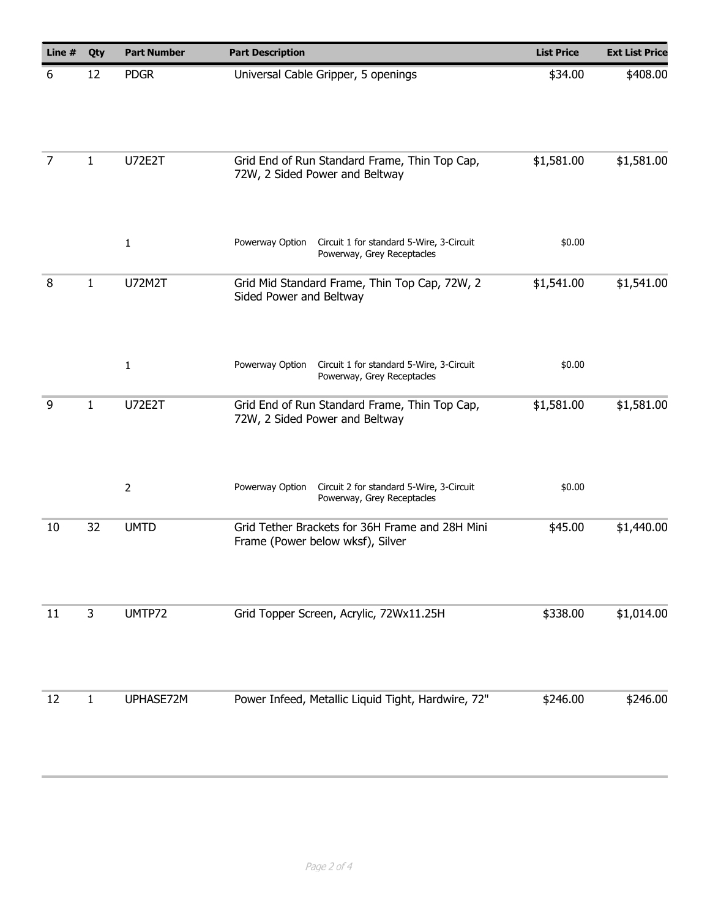| Line #         | Qty          | <b>Part Number</b> | <b>Part Description</b>                                                                   | <b>List Price</b> | <b>Ext List Price</b> |
|----------------|--------------|--------------------|-------------------------------------------------------------------------------------------|-------------------|-----------------------|
| 6              | 12           | <b>PDGR</b>        | Universal Cable Gripper, 5 openings                                                       | \$34.00           | \$408.00              |
| $\overline{7}$ | 1            | <b>U72E2T</b>      | Grid End of Run Standard Frame, Thin Top Cap,<br>72W, 2 Sided Power and Beltway           | \$1,581.00        | \$1,581.00            |
|                |              | $\mathbf{1}$       | Powerway Option<br>Circuit 1 for standard 5-Wire, 3-Circuit<br>Powerway, Grey Receptacles | \$0.00            |                       |
| 8              | $\mathbf{1}$ | <b>U72M2T</b>      | Grid Mid Standard Frame, Thin Top Cap, 72W, 2<br>Sided Power and Beltway                  | \$1,541.00        | \$1,541.00            |
|                |              |                    |                                                                                           |                   |                       |
|                |              | $\mathbf{1}$       | Powerway Option<br>Circuit 1 for standard 5-Wire, 3-Circuit<br>Powerway, Grey Receptacles | \$0.00            |                       |
| 9              | $\mathbf{1}$ | <b>U72E2T</b>      | Grid End of Run Standard Frame, Thin Top Cap,<br>72W, 2 Sided Power and Beltway           | \$1,581.00        | \$1,581.00            |
|                |              | $\overline{2}$     | Circuit 2 for standard 5-Wire, 3-Circuit<br>Powerway Option<br>Powerway, Grey Receptacles | \$0.00            |                       |
| 10             | 32           | <b>UMTD</b>        | Grid Tether Brackets for 36H Frame and 28H Mini<br>Frame (Power below wksf), Silver       | \$45.00           | \$1,440.00            |
| 11             | 3            | UMTP72             | Grid Topper Screen, Acrylic, 72Wx11.25H                                                   | \$338.00          | \$1,014.00            |
|                |              |                    |                                                                                           |                   |                       |
| 12             | 1            | UPHASE72M          | Power Infeed, Metallic Liquid Tight, Hardwire, 72"                                        | \$246.00          | \$246.00              |
|                |              |                    |                                                                                           |                   |                       |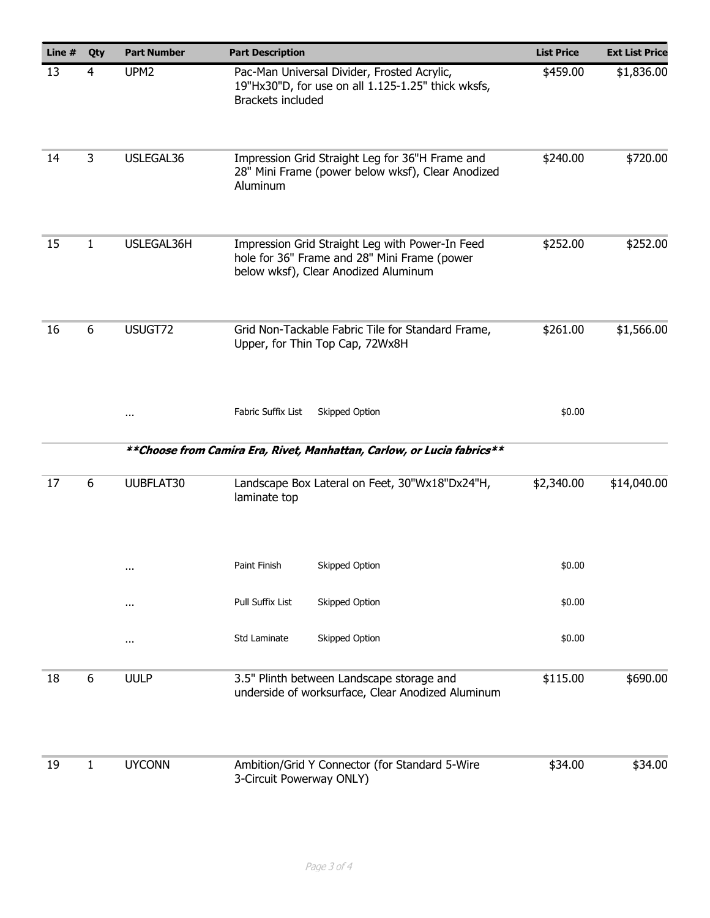| Line $#$ | Qty          | <b>Part Number</b> | <b>Part Description</b>                                                                                                                 | <b>List Price</b> | <b>Ext List Price</b> |
|----------|--------------|--------------------|-----------------------------------------------------------------------------------------------------------------------------------------|-------------------|-----------------------|
| 13       | 4            | UPM <sub>2</sub>   | Pac-Man Universal Divider, Frosted Acrylic,<br>19"Hx30"D, for use on all 1.125-1.25" thick wksfs,<br>Brackets included                  | \$459.00          | \$1,836.00            |
| 14       | 3            | USLEGAL36          | Impression Grid Straight Leg for 36"H Frame and<br>28" Mini Frame (power below wksf), Clear Anodized<br>Aluminum                        | \$240.00          | \$720.00              |
| 15       | 1            | USLEGAL36H         | Impression Grid Straight Leg with Power-In Feed<br>hole for 36" Frame and 28" Mini Frame (power<br>below wksf), Clear Anodized Aluminum | \$252.00          | \$252.00              |
| 16       | 6            | USUGT72            | Grid Non-Tackable Fabric Tile for Standard Frame,<br>Upper, for Thin Top Cap, 72Wx8H                                                    | \$261.00          | \$1,566.00            |
|          |              | $\cdots$           | Fabric Suffix List<br>Skipped Option                                                                                                    | \$0.00            |                       |
|          |              |                    | ** Choose from Camira Era, Rivet, Manhattan, Carlow, or Lucia fabrics**                                                                 |                   |                       |
| 17       | 6            | UUBFLAT30          | Landscape Box Lateral on Feet, 30"Wx18"Dx24"H,<br>laminate top                                                                          | \$2,340.00        | \$14,040.00           |
|          |              | $\cdots$           | Paint Finish<br>Skipped Option                                                                                                          | \$0.00            |                       |
|          |              | $\cdots$           | Pull Suffix List<br>Skipped Option                                                                                                      | \$0.00            |                       |
|          |              | $\cdots$           | Std Laminate<br>Skipped Option                                                                                                          | \$0.00            |                       |
| 18       | 6            | <b>UULP</b>        | 3.5" Plinth between Landscape storage and<br>underside of worksurface, Clear Anodized Aluminum                                          | \$115.00          | \$690.00              |
| 19       | $\mathbf{1}$ | <b>UYCONN</b>      | Ambition/Grid Y Connector (for Standard 5-Wire<br>3-Circuit Powerway ONLY)                                                              | \$34.00           | \$34.00               |